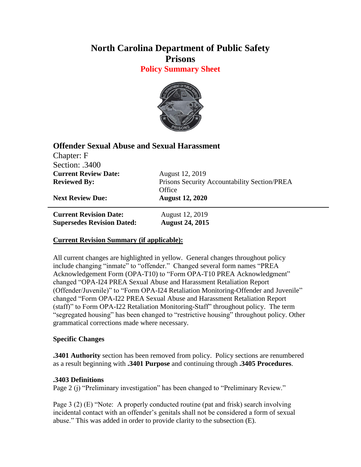# **North Carolina Department of Public Safety Prisons**

**Policy Summary Sheet**



## **Offender Sexual Abuse and Sexual Harassment**

| Chapter: F                        |                                              |
|-----------------------------------|----------------------------------------------|
| Section: .3400                    |                                              |
| <b>Current Review Date:</b>       | August 12, 2019                              |
| <b>Reviewed By:</b>               | Prisons Security Accountability Section/PREA |
|                                   | Office                                       |
| <b>Next Review Due:</b>           | <b>August 12, 2020</b>                       |
| <b>Current Revision Date:</b>     | August 12, 2019                              |
| <b>Supersedes Revision Dated:</b> | <b>August 24, 2015</b>                       |

### **Current Revision Summary (if applicable):**

All current changes are highlighted in yellow. General changes throughout policy include changing "inmate" to "offender." Changed several form names "PREA Acknowledgement Form (OPA-T10) to "Form OPA-T10 PREA Acknowledgment" changed "OPA-I24 PREA Sexual Abuse and Harassment Retaliation Report (Offender/Juvenile)" to "Form OPA-I24 Retaliation Monitoring-Offender and Juvenile" changed "Form OPA-I22 PREA Sexual Abuse and Harassment Retaliation Report (staff)" to Form OPA-I22 Retaliation Monitoring-Staff" throughout policy. The term "segregated housing" has been changed to "restrictive housing" throughout policy. Other grammatical corrections made where necessary.

### **Specific Changes**

**.3401 Authority** section has been removed from policy. Policy sections are renumbered as a result beginning with **.3401 Purpose** and continuing through **.3405 Procedures**.

### **.3403 Definitions**

Page 2 (j) "Preliminary investigation" has been changed to "Preliminary Review."

Page 3 (2) (E) "Note: A properly conducted routine (pat and frisk) search involving incidental contact with an offender's genitals shall not be considered a form of sexual abuse." This was added in order to provide clarity to the subsection (E).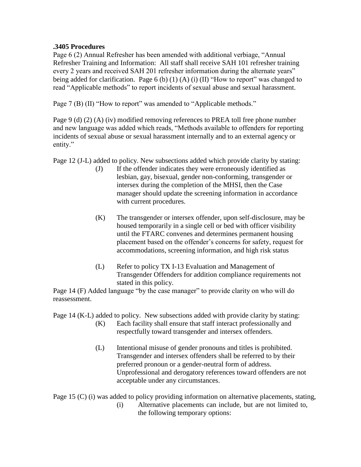#### **.3405 Procedures**

Page 6 (2) Annual Refresher has been amended with additional verbiage, "Annual Refresher Training and Information: All staff shall receive SAH 101 refresher training every 2 years and received SAH 201 refresher information during the alternate years" being added for clarification. Page 6 (b) (1) (A) (i) (II) "How to report" was changed to read "Applicable methods" to report incidents of sexual abuse and sexual harassment.

Page 7 (B) (II) "How to report" was amended to "Applicable methods."

Page 9 (d) (2) (A) (iv) modified removing references to PREA toll free phone number and new language was added which reads, "Methods available to offenders for reporting incidents of sexual abuse or sexual harassment internally and to an external agency or entity."

Page 12 (J-L) added to policy. New subsections added which provide clarity by stating:

- (J) If the offender indicates they were erroneously identified as lesbian, gay, bisexual, gender non-conforming, transgender or intersex during the completion of the MHSI, then the Case manager should update the screening information in accordance with current procedures.
- (K) The transgender or intersex offender, upon self-disclosure, may be housed temporarily in a single cell or bed with officer visibility until the FTARC convenes and determines permanent housing placement based on the offender's concerns for safety, request for accommodations, screening information, and high risk status
- (L) Refer to policy TX I-13 Evaluation and Management of Transgender Offenders for addition compliance requirements not stated in this policy.

Page 14 (F) Added language "by the case manager" to provide clarity on who will do reassessment.

Page 14 (K-L) added to policy. New subsections added with provide clarity by stating:

- (K) Each facility shall ensure that staff interact professionally and respectfully toward transgender and intersex offenders.
- (L) Intentional misuse of gender pronouns and titles is prohibited. Transgender and intersex offenders shall be referred to by their preferred pronoun or a gender-neutral form of address. Unprofessional and derogatory references toward offenders are not acceptable under any circumstances.

Page 15 (C) (i) was added to policy providing information on alternative placements, stating,

(i) Alternative placements can include, but are not limited to, the following temporary options: